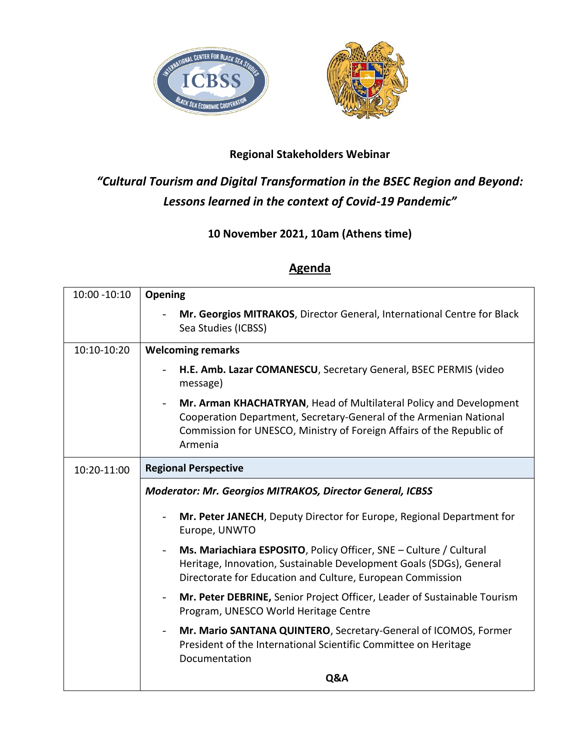



## **Regional Stakeholders Webinar**

## *"Cultural Tourism and Digital Transformation in the BSEC Region and Beyond: Lessons learned in the context of Covid-19 Pandemic"*

## **10 November 2021, 10am (Athens time)**

## **Agenda**

| 10:00 -10:10 | Opening                                                                                                                                                                                                                      |
|--------------|------------------------------------------------------------------------------------------------------------------------------------------------------------------------------------------------------------------------------|
|              | Mr. Georgios MITRAKOS, Director General, International Centre for Black<br>Sea Studies (ICBSS)                                                                                                                               |
| 10:10-10:20  | <b>Welcoming remarks</b>                                                                                                                                                                                                     |
|              | H.E. Amb. Lazar COMANESCU, Secretary General, BSEC PERMIS (video<br>message)                                                                                                                                                 |
|              | Mr. Arman KHACHATRYAN, Head of Multilateral Policy and Development<br>Cooperation Department, Secretary-General of the Armenian National<br>Commission for UNESCO, Ministry of Foreign Affairs of the Republic of<br>Armenia |
| 10:20-11:00  | <b>Regional Perspective</b>                                                                                                                                                                                                  |
|              | <b>Moderator: Mr. Georgios MITRAKOS, Director General, ICBSS</b>                                                                                                                                                             |
|              | Mr. Peter JANECH, Deputy Director for Europe, Regional Department for<br>Europe, UNWTO                                                                                                                                       |
|              | Ms. Mariachiara ESPOSITO, Policy Officer, SNE – Culture / Cultural<br>Heritage, Innovation, Sustainable Development Goals (SDGs), General<br>Directorate for Education and Culture, European Commission                      |
|              | Mr. Peter DEBRINE, Senior Project Officer, Leader of Sustainable Tourism<br>Program, UNESCO World Heritage Centre                                                                                                            |
|              | Mr. Mario SANTANA QUINTERO, Secretary-General of ICOMOS, Former<br>President of the International Scientific Committee on Heritage<br>Documentation                                                                          |
|              | Q&A                                                                                                                                                                                                                          |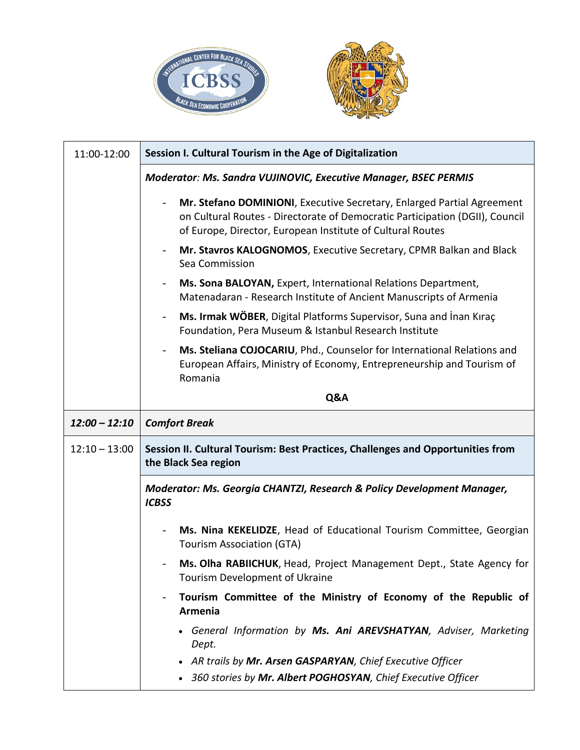



| 11:00-12:00     | Session I. Cultural Tourism in the Age of Digitalization                                                                                                                                                             |
|-----------------|----------------------------------------------------------------------------------------------------------------------------------------------------------------------------------------------------------------------|
|                 | Moderator: Ms. Sandra VUJINOVIC, Executive Manager, BSEC PERMIS                                                                                                                                                      |
|                 | Mr. Stefano DOMINIONI, Executive Secretary, Enlarged Partial Agreement<br>on Cultural Routes - Directorate of Democratic Participation (DGII), Council<br>of Europe, Director, European Institute of Cultural Routes |
|                 | Mr. Stavros KALOGNOMOS, Executive Secretary, CPMR Balkan and Black<br>Sea Commission                                                                                                                                 |
|                 | Ms. Sona BALOYAN, Expert, International Relations Department,<br>Matenadaran - Research Institute of Ancient Manuscripts of Armenia                                                                                  |
|                 | Ms. Irmak WÖBER, Digital Platforms Supervisor, Suna and Inan Kıraç<br>$\overline{\phantom{a}}$<br>Foundation, Pera Museum & Istanbul Research Institute                                                              |
|                 | Ms. Steliana COJOCARIU, Phd., Counselor for International Relations and<br>European Affairs, Ministry of Economy, Entrepreneurship and Tourism of<br>Romania                                                         |
|                 | Q&A                                                                                                                                                                                                                  |
|                 |                                                                                                                                                                                                                      |
| $12:00 - 12:10$ | <b>Comfort Break</b>                                                                                                                                                                                                 |
| $12:10 - 13:00$ | Session II. Cultural Tourism: Best Practices, Challenges and Opportunities from<br>the Black Sea region                                                                                                              |
|                 | Moderator: Ms. Georgia CHANTZI, Research & Policy Development Manager,<br><b>ICBSS</b>                                                                                                                               |
|                 | Ms. Nina KEKELIDZE, Head of Educational Tourism Committee, Georgian<br><b>Tourism Association (GTA)</b>                                                                                                              |
|                 | Ms. Olha RABIICHUK, Head, Project Management Dept., State Agency for<br>Tourism Development of Ukraine                                                                                                               |
|                 | Tourism Committee of the Ministry of Economy of the Republic of<br>Armenia                                                                                                                                           |
|                 | General Information by Ms. Ani AREVSHATYAN, Adviser, Marketing<br>Dept.                                                                                                                                              |